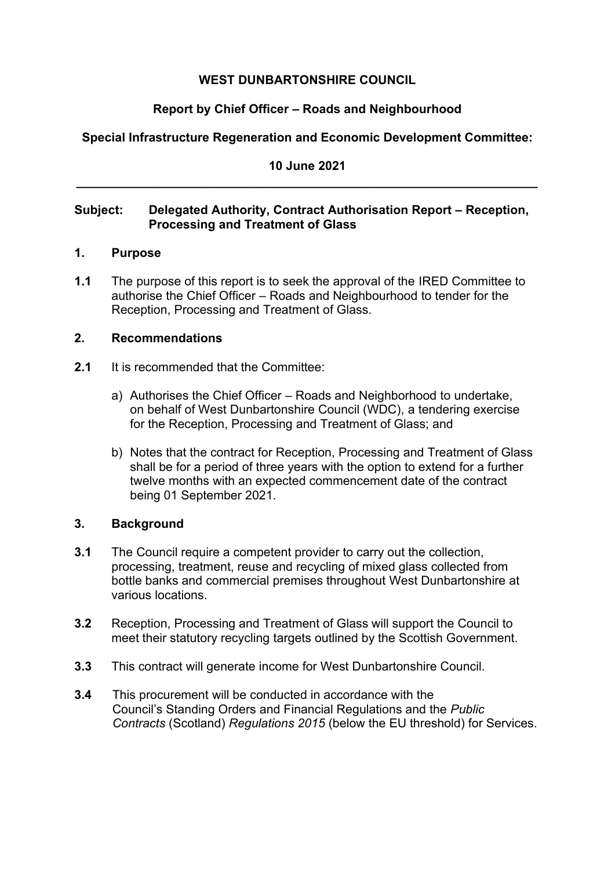### **WEST DUNBARTONSHIRE COUNCIL**

# **Report by Chief Officer – Roads and Neighbourhood**

# **Special Infrastructure Regeneration and Economic Development Committee:**

## **10 June 2021 \_\_\_\_\_\_\_\_\_\_\_\_\_\_\_\_\_\_\_\_\_\_\_\_\_\_\_\_\_\_\_\_\_\_\_\_\_\_\_\_\_\_\_\_\_\_\_\_\_\_\_\_\_\_\_\_\_\_\_\_\_\_\_\_\_\_\_**

### **Subject:** Delegated Authority, Contract Authorisation Report – Reception, **Processing and Treatment of Glass**

### **1. Purpose**

**1.1** The purpose of this report is to seek the approval of the IRED Committee to authorise the Chief Officer – Roads and Neighbourhood to tender for the Reception, Processing and Treatment of Glass.

### **2. Recommendations**

- **2.1** It is recommended that the Committee:
	- a) Authorises the Chief Officer Roads and Neighborhood to undertake, on behalf of West Dunbartonshire Council (WDC), a tendering exercise for the Reception, Processing and Treatment of Glass; and
	- b) Notes that the contract for Reception, Processing and Treatment of Glass shall be for a period of three years with the option to extend for a further twelve months with an expected commencement date of the contract being 01 September 2021.

### **3. Background**

- **3.1** The Council require a competent provider to carry out the collection, processing, treatment, reuse and recycling of mixed glass collected from bottle banks and commercial premises throughout West Dunbartonshire at various locations.
- **3.2** Reception, Processing and Treatment of Glass will support the Council to meet their statutory recycling targets outlined by the Scottish Government.
- **3.3** This contract will generate income for West Dunbartonshire Council.
- **3.4** This procurement will be conducted in accordance with the Council's Standing Orders and Financial Regulations and the *Public Contracts* (Scotland) *Regulations 2015* (below the EU threshold) for Services.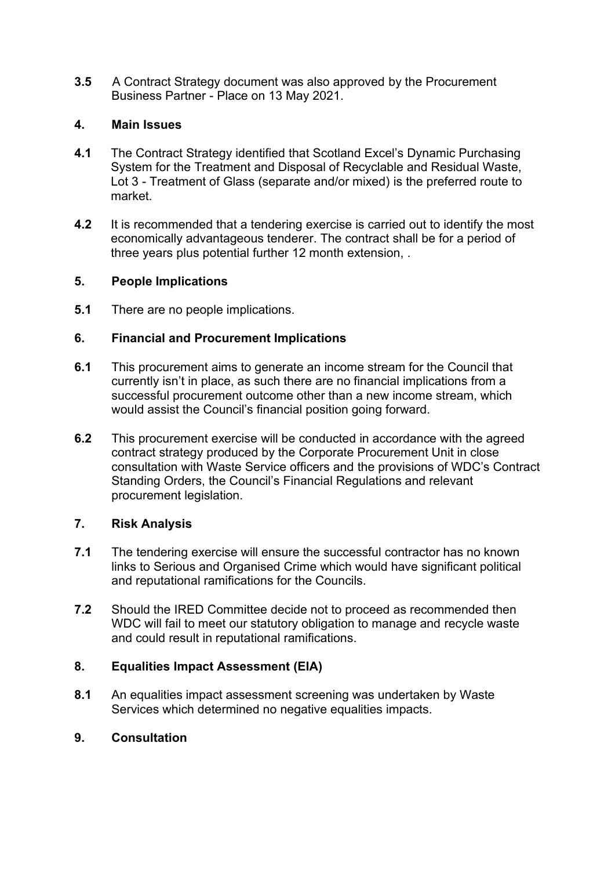**3.5** A Contract Strategy document was also approved by the Procurement Business Partner - Place on 13 May 2021.

### **4. Main Issues**

- **4.1** The Contract Strategy identified that Scotland Excel's Dynamic Purchasing System for the Treatment and Disposal of Recyclable and Residual Waste, Lot 3 - Treatment of Glass (separate and/or mixed) is the preferred route to market.
- **4.2** It is recommended that a tendering exercise is carried out to identify the most economically advantageous tenderer. The contract shall be for a period of three years plus potential further 12 month extension, .

#### **5. People Implications**

**5.1** There are no people implications.

### **6. Financial and Procurement Implications**

- **6.1** This procurement aims to generate an income stream for the Council that currently isn't in place, as such there are no financial implications from a successful procurement outcome other than a new income stream, which would assist the Council's financial position going forward.
- **6.2** This procurement exercise will be conducted in accordance with the agreed contract strategy produced by the Corporate Procurement Unit in close consultation with Waste Service officers and the provisions of WDC's Contract Standing Orders, the Council's Financial Regulations and relevant procurement legislation.

### **7. Risk Analysis**

- **7.1** The tendering exercise will ensure the successful contractor has no known links to Serious and Organised Crime which would have significant political and reputational ramifications for the Councils.
- **7.2** Should the IRED Committee decide not to proceed as recommended then WDC will fail to meet our statutory obligation to manage and recycle waste and could result in reputational ramifications.

### **8. Equalities Impact Assessment (EIA)**

**8.1** An equalities impact assessment screening was undertaken by Waste Services which determined no negative equalities impacts.

#### **9. Consultation**